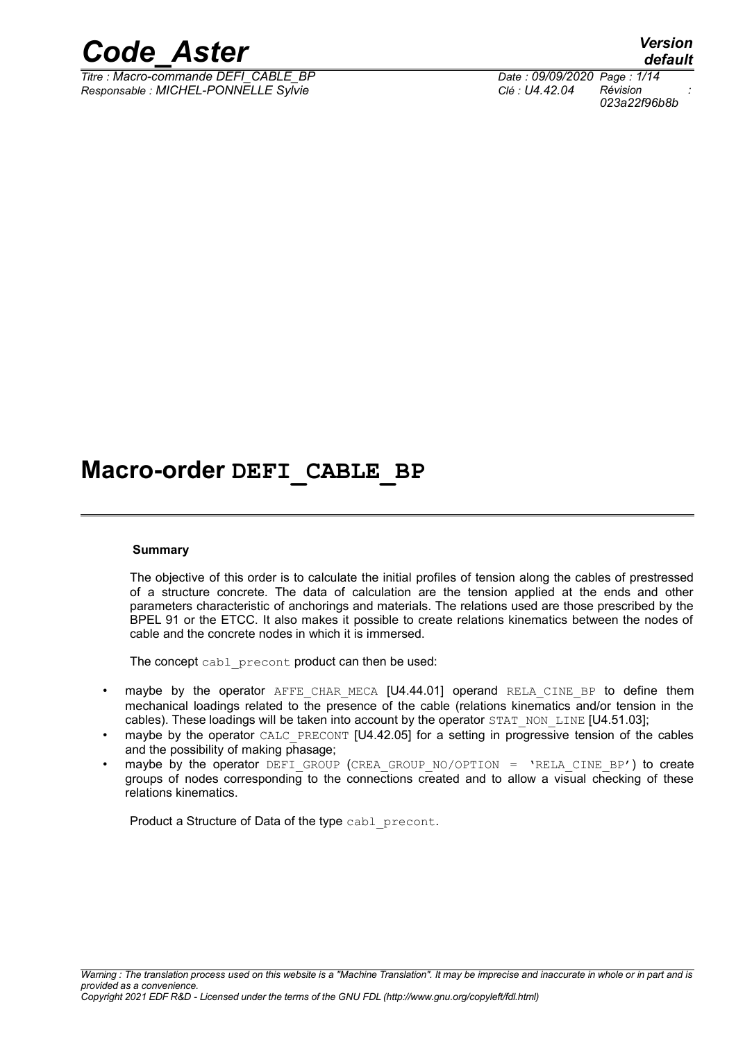

*Titre : Macro-commande DEFI\_CABLE\_BP Date : 09/09/2020 Page : 1/14 Responsable : MICHEL-PONNELLE Sylvie Clé : U4.42.04 Révision :*

*default 023a22f96b8b*

## **Macro-order DEFI\_CABLE\_BP**

#### **Summary**

The objective of this order is to calculate the initial profiles of tension along the cables of prestressed of a structure concrete. The data of calculation are the tension applied at the ends and other parameters characteristic of anchorings and materials. The relations used are those prescribed by the BPEL 91 or the ETCC. It also makes it possible to create relations kinematics between the nodes of cable and the concrete nodes in which it is immersed.

The concept cabl precont product can then be used:

- maybe by the operator AFFE CHAR MECA  $[U4.44.01]$  operand RELA CINE BP to define them mechanical loadings related to the presence of the cable (relations kinematics and/or tension in the cables). These loadings will be taken into account by the operator STAT\_NON\_LINE [U4.51.03];
- maybe by the operator CALC\_PRECONT [U4.42.05] for a setting in progressive tension of the cables and the possibility of making phasage;
- maybe by the operator DEFI\_GROUP (CREA\_GROUP\_NO/OPTION = 'RELA\_CINE\_BP') to create groups of nodes corresponding to the connections created and to allow a visual checking of these relations kinematics.

Product a Structure of Data of the type cabl precont.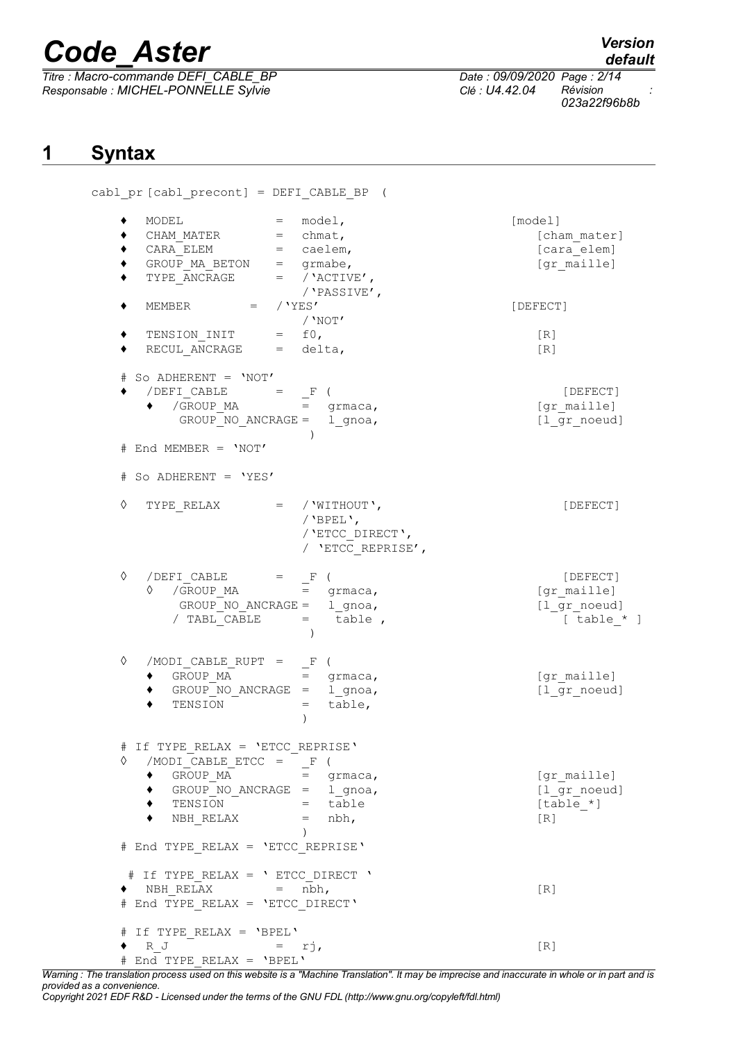*Titre : Macro-commande DEFI\_CABLE\_BP Date : 09/09/2020 Page : 2/14 Responsable : MICHEL-PONNELLE Sylvie Clé : U4.42.04 Révision :*

*default 023a22f96b8b*

## **1 Syntax**

| MODEL                                                                                                                              | $=$ model,                                                               | [model]           |
|------------------------------------------------------------------------------------------------------------------------------------|--------------------------------------------------------------------------|-------------------|
| CHAM MATER = chmat,                                                                                                                |                                                                          | [cham mater]      |
| $CARA$ ELEM $=$ caelem,                                                                                                            |                                                                          | [cara elem]       |
|                                                                                                                                    | GROUP MA BETON $=$ grmabe,                                               | [gr maille]       |
|                                                                                                                                    |                                                                          |                   |
|                                                                                                                                    | TYPE ANCRAGE $=$ / 'ACTIVE',                                             |                   |
|                                                                                                                                    | / 'PASSIVE',                                                             |                   |
| MEMBER $=$ / 'YES'                                                                                                                 |                                                                          | [DEFECT]          |
|                                                                                                                                    | $/$ 'Not'                                                                |                   |
| $\begin{tabular}{lllll} TENSION\_INIT & = & f0, \end{tabular}$                                                                     |                                                                          | $\lceil R \rceil$ |
| $RECUL$ ANCRAGE = delta,                                                                                                           |                                                                          | [R]               |
| # So ADHERENT = 'NOT'                                                                                                              |                                                                          |                   |
|                                                                                                                                    |                                                                          | [DEFECT]          |
|                                                                                                                                    | ◆ /DEFI_CABLE = $\frac{F}{F}$ (<br>→ /GROUP_MA = grmaca,                 | [gr maille]       |
|                                                                                                                                    | GROUP NO ANCRAGE = $1$ gnoa,                                             | [1 gr_noeud]      |
|                                                                                                                                    |                                                                          |                   |
| # End MEMBER = 'NOT'                                                                                                               |                                                                          |                   |
| # So ADHERENT = 'YES'                                                                                                              |                                                                          |                   |
|                                                                                                                                    |                                                                          |                   |
|                                                                                                                                    | $\Diamond$ TYPE RELAX = / 'WITHOUT',                                     | [DEFECT]          |
|                                                                                                                                    | / 'BPEL',                                                                |                   |
|                                                                                                                                    | / 'ETCC DIRECT',                                                         |                   |
|                                                                                                                                    | / 'ETCC REPRISE',                                                        |                   |
| ♦                                                                                                                                  |                                                                          |                   |
| $\begin{array}{cccc} /\texttt{DEFI\_CABLE} & = & - \texttt{F} & ( \\ \lozenge & / \texttt{GROUP\_MA} & = & \texttt{g} \end{array}$ |                                                                          | [DEFECT]          |
|                                                                                                                                    | $=$ grmaca,                                                              | [gr maille]       |
|                                                                                                                                    | GROUP NO ANCRAGE = $1$ gnoa,                                             | [1 gr noeud]      |
|                                                                                                                                    | / TABL CABLE $=$ table,                                                  | $[table * ]$      |
|                                                                                                                                    |                                                                          |                   |
| ♦<br>/MODI CABLE RUPT =                                                                                                            | $\mathbb{F}$                                                             |                   |
| GROUP_MA                                                                                                                           | $=$ qrmaca,                                                              | [gr maille]       |
|                                                                                                                                    | GROUP NO ANCRAGE = $1$ gnoa,                                             | [1 gr noeud]      |
| TENSION                                                                                                                            | table,<br>$=$                                                            |                   |
|                                                                                                                                    | $\mathcal{C}$                                                            |                   |
| # If TYPE_RELAX = 'ETCC_REPRISE'                                                                                                   |                                                                          |                   |
| $/MODI_CABLE_ETCC = F$ (<br>♦                                                                                                      |                                                                          |                   |
| $\begin{array}{lllllll} \texttt{GROUP\_MA} \end{array}$                                                                            | $=$ grmaca,                                                              | [gr maille]       |
|                                                                                                                                    |                                                                          | [1 gr noeud]      |
|                                                                                                                                    | GROUP_NO_ANCRAGE = 1_gnoa,                                               |                   |
|                                                                                                                                    | TENSION $=\overline{t}$ able                                             | $[table *]$       |
|                                                                                                                                    | $\begin{array}{rcl} \mathtt{NBH\_RELAX} & = & \mathtt{nbh,} \end{array}$ | $[R]$             |
| # End TYPE_RELAX = 'ETCC_REPRISE'                                                                                                  | $\left( \right)$                                                         |                   |
|                                                                                                                                    |                                                                          |                   |
|                                                                                                                                    | # If TYPE_RELAX = ' ETCC_DIRECT '                                        |                   |
| $\bullet \quad \text{NBH\_RELAX} \quad = \quad \text{nbh,}$                                                                        |                                                                          | [R]               |
| # End TYPE_RELAX = 'ETCC_DIRECT'                                                                                                   |                                                                          |                   |
| # If TYPE RELAX = 'BPEL'                                                                                                           |                                                                          |                   |
| R J $= rj$ ,                                                                                                                       |                                                                          | [R]               |
| # End TYPE RELAX = 'BPEL'                                                                                                          |                                                                          |                   |

*Warning : The translation process used on this website is a "Machine Translation". It may be imprecise and inaccurate in whole or in part and is provided as a convenience.*

*Copyright 2021 EDF R&D - Licensed under the terms of the GNU FDL (http://www.gnu.org/copyleft/fdl.html)*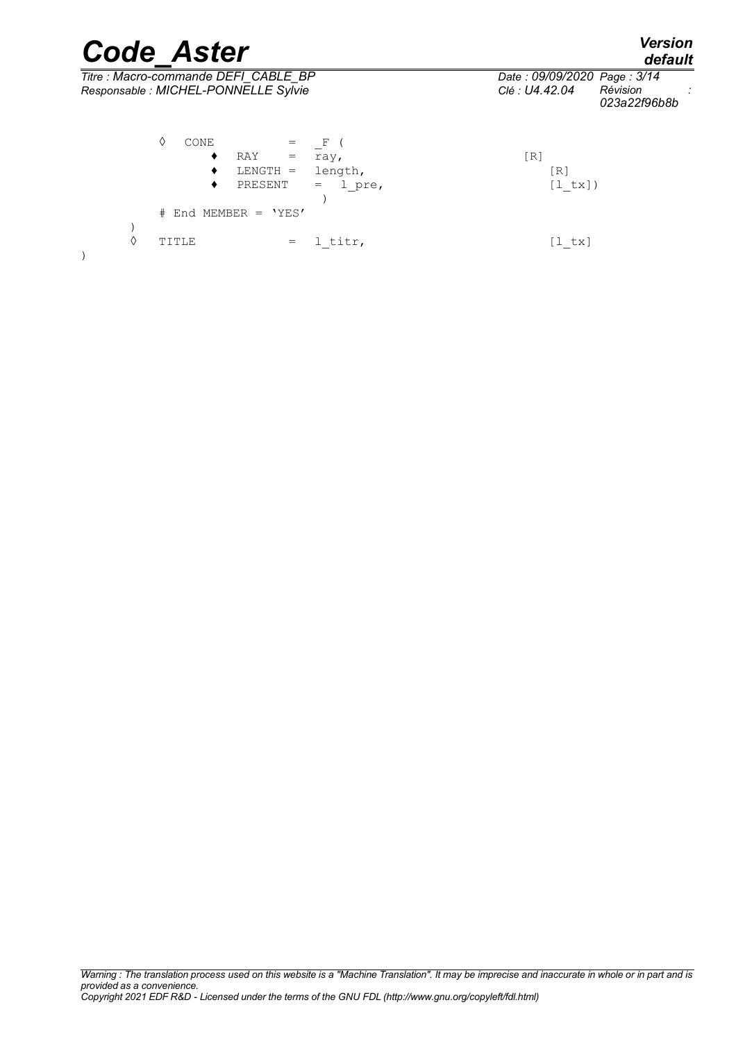|   | <b>Code Aster</b>                                                                                                                     | <b>Version</b><br>default                                                 |
|---|---------------------------------------------------------------------------------------------------------------------------------------|---------------------------------------------------------------------------|
|   | Titre : Macro-commande DEFI CABLE BP<br>Responsable : MICHEL-PONNELLE Sylvie                                                          | Date: 09/09/2020 Page: 3/14<br>Révision<br>Clé : U4.42.04<br>023a22f96b8b |
|   | ♦<br>CONE<br>F<br>RAY<br>٠<br>ray,<br>$=$<br>$LENGTH =$<br>length,<br>٠<br>PRESENT<br>1 pre,<br>٠<br>$=$<br>End MEMBER = $'YES'$<br># | [R]<br>R.<br>[1 tx])                                                      |
| ♦ | 1 titr,<br>TITLE<br>$=$                                                                                                               | [l tx]                                                                    |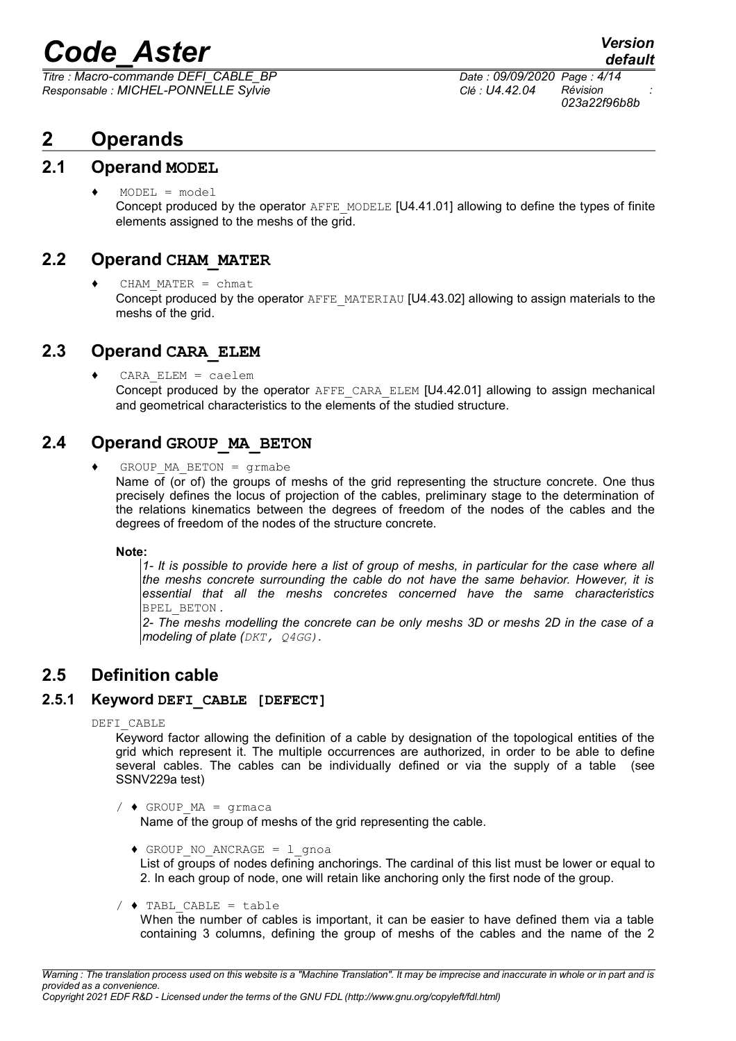*Titre : Macro-commande DEFI\_CABLE\_BP Date : 09/09/2020 Page : 4/14 Responsable : MICHEL-PONNELLE Sylvie Clé : U4.42.04 Révision :*

## **2 Operands**

#### **2.1 Operand MODEL**

 $\triangleleft$  MODEL = model Concept produced by the operator AFFE\_MODELE [U4.41.01] allowing to define the types of finite elements assigned to the meshs of the grid.

#### **2.2 Operand CHAM\_MATER**

♦ CHAM\_MATER = chmat Concept produced by the operator AFFE\_MATERIAU [U4.43.02] allowing to assign materials to the meshs of the grid.

#### **2.3 Operand CARA\_ELEM**

 $CARA$   $ELEM$  = caelem Concept produced by the operator AFFE\_CARA\_ELEM [U4.42.01] allowing to assign mechanical and geometrical characteristics to the elements of the studied structure.

### **2.4 Operand GROUP\_MA\_BETON**

 $GROUP$  MA BETON = grmabe

Name of (or of) the groups of meshs of the grid representing the structure concrete. One thus precisely defines the locus of projection of the cables, preliminary stage to the determination of the relations kinematics between the degrees of freedom of the nodes of the cables and the degrees of freedom of the nodes of the structure concrete.

**Note:**

*1- It is possible to provide here a list of group of meshs, in particular for the case where all the meshs concrete surrounding the cable do not have the same behavior. However, it is essential that all the meshs concretes concerned have the same characteristics* BPEL\_BETON *.*

*2- The meshs modelling the concrete can be only meshs 3D or meshs 2D in the case of a modeling of plate (DKT, Q4GG).* 

## **2.5 Definition cable**

#### **2.5.1 Keyword DEFI\_CABLE [DEFECT]**

DEFI\_CABLE

Keyword factor allowing the definition of a cable by designation of the topological entities of the grid which represent it. The multiple occurrences are authorized, in order to be able to define several cables. The cables can be individually defined or via the supply of a table (see SSNV229a test)

- /  $\triangleleft$  GROUP MA = grmaca Name of the group of meshs of the grid representing the cable.
	- $\triangleleft$  GROUP NO ANCRAGE = 1 gnoa List of groups of nodes defining anchorings. The cardinal of this list must be lower or equal to 2. In each group of node, one will retain like anchoring only the first node of the group.

 $/$   $\blacklozenge$  TABL CABLE = table

When the number of cables is important, it can be easier to have defined them via a table containing 3 columns, defining the group of meshs of the cables and the name of the 2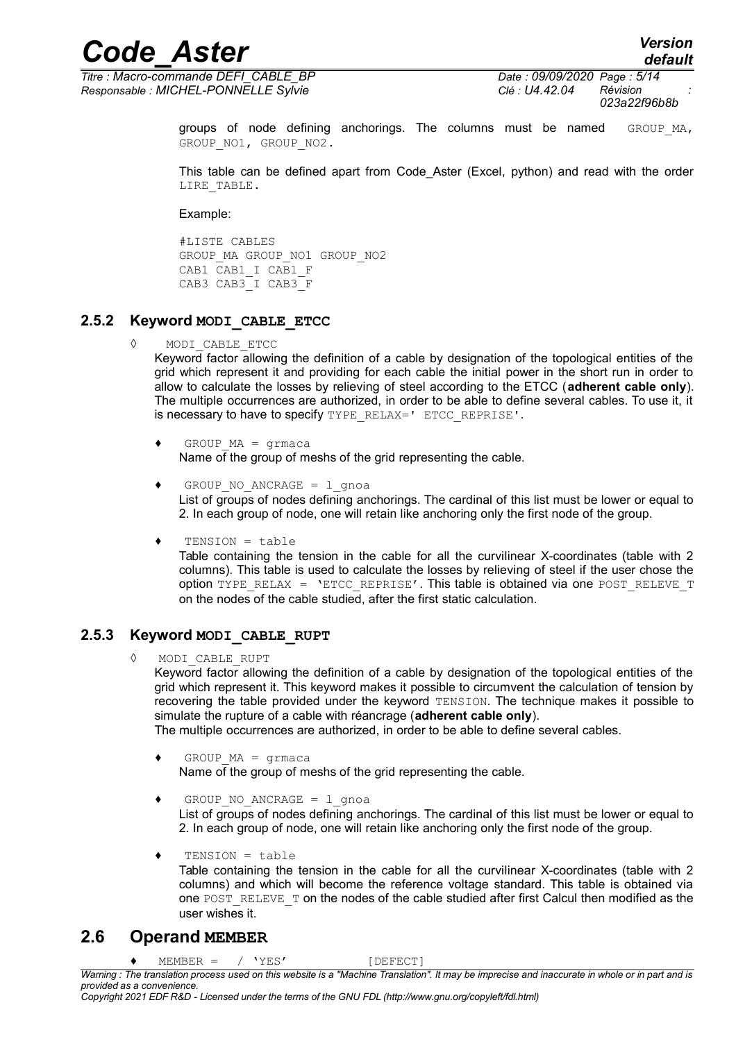*Titre : Macro-commande DEFI\_CABLE\_BP Date : 09/09/2020 Page : 5/14 Responsable : MICHEL-PONNELLE Sylvie Clé : U4.42.04 Révision :*

*023a22f96b8b*

groups of node defining anchorings. The columns must be named GROUP MA, GROUP NO1, GROUP NO2.

This table can be defined apart from Code Aster (Excel, python) and read with the order LIRE\_TABLE.

Example:

#LISTE CABLES GROUP\_MA GROUP\_NO1 GROUP\_NO2 CAB1 CAB1\_I CAB1\_F CAB3 CAB3\_I CAB3\_F

#### **2.5.2 Keyword MODI\_CABLE\_ETCC**

◊ MODI\_CABLE\_ETCC

Keyword factor allowing the definition of a cable by designation of the topological entities of the grid which represent it and providing for each cable the initial power in the short run in order to allow to calculate the losses by relieving of steel according to the ETCC (**adherent cable only**). The multiple occurrences are authorized, in order to be able to define several cables. To use it, it is necessary to have to specify TYPE\_RELAX=' ETCC\_REPRISE'.

- $GROUP MA = \text{grmaca}$ Name of the group of meshs of the grid representing the cable.
- GROUP NO ANCRAGE =  $l$  qnoa List of groups of nodes defining anchorings. The cardinal of this list must be lower or equal to 2. In each group of node, one will retain like anchoring only the first node of the group.
- $TENSION = table$

Table containing the tension in the cable for all the curvilinear X-coordinates (table with 2 columns). This table is used to calculate the losses by relieving of steel if the user chose the option TYPE\_RELAX = 'ETCC\_REPRISE'. This table is obtained via one POST\_RELEVE\_T on the nodes of the cable studied, after the first static calculation.

#### **2.5.3 Keyword MODI\_CABLE\_RUPT**

◊ MODI\_CABLE\_RUPT

Keyword factor allowing the definition of a cable by designation of the topological entities of the grid which represent it. This keyword makes it possible to circumvent the calculation of tension by recovering the table provided under the keyword TENSION. The technique makes it possible to simulate the rupture of a cable with réancrage (**adherent cable only**).

- The multiple occurrences are authorized, in order to be able to define several cables.
- $\triangleleft$  GROUP MA = grmaca Name of the group of meshs of the grid representing the cable.
- GROUP NO ANCRAGE =  $l$  gnoa List of groups of nodes defining anchorings. The cardinal of this list must be lower or equal to 2. In each group of node, one will retain like anchoring only the first node of the group.
- ♦ TENSION = table Table containing the tension in the cable for all the curvilinear X-coordinates (table with 2 columns) and which will become the reference voltage standard. This table is obtained via one POST\_RELEVE\_T on the nodes of the cable studied after first Calcul then modified as the user wishes it.

#### **2.6 Operand MEMBER**

 $MEMBER = / 'YES'$  [DEFECT]

*Warning : The translation process used on this website is a "Machine Translation". It may be imprecise and inaccurate in whole or in part and is provided as a convenience.*

*Copyright 2021 EDF R&D - Licensed under the terms of the GNU FDL (http://www.gnu.org/copyleft/fdl.html)*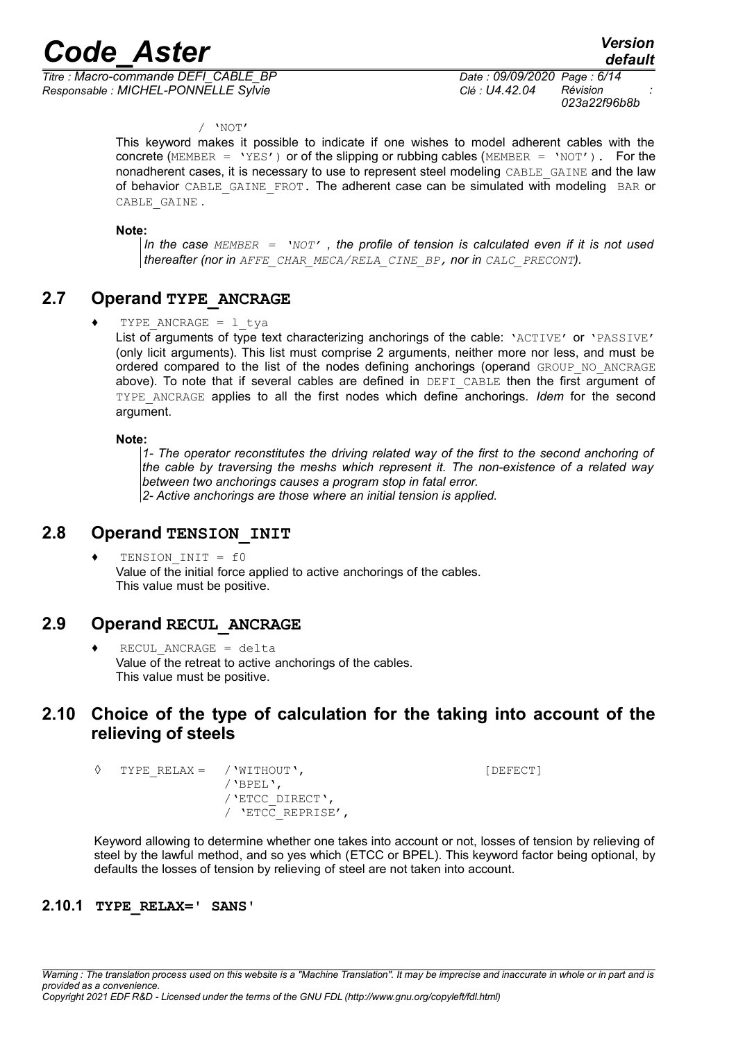*Titre : Macro-commande DEFI\_CABLE\_BP Date : 09/09/2020 Page : 6/14 Responsable : MICHEL-PONNELLE Sylvie Clé : U4.42.04 Révision :*

*023a22f96b8b*

/ 'NOT'

This keyword makes it possible to indicate if one wishes to model adherent cables with the concrete (MEMBER =  $YES'$ ) or of the slipping or rubbing cables (MEMBER =  $'NOT'$ ). For the nonadherent cases, it is necessary to use to represent steel modeling CABLE\_GAINE and the law of behavior CABLE\_GAINE\_FROT. The adherent case can be simulated with modeling BAR or CABLE\_GAINE .

**Note:**

*In the case MEMBER = 'NOT' , the profile of tension is calculated even if it is not used thereafter (nor in AFFE\_CHAR\_MECA/RELA\_CINE\_BP, nor in CALC\_PRECONT).*

### **2.7 Operand TYPE\_ANCRAGE**

TYPE ANCRAGE =  $1$  tva

List of arguments of type text characterizing anchorings of the cable: 'ACTIVE' or 'PASSIVE' (only licit arguments). This list must comprise 2 arguments, neither more nor less, and must be ordered compared to the list of the nodes defining anchorings (operand GROUP NO ANCRAGE above). To note that if several cables are defined in DEFI CABLE then the first argument of TYPE\_ANCRAGE applies to all the first nodes which define anchorings. *Idem* for the second argument.

#### **Note:**

*1- The operator reconstitutes the driving related way of the first to the second anchoring of the cable by traversing the meshs which represent it. The non-existence of a related way between two anchorings causes a program stop in fatal error. 2- Active anchorings are those where an initial tension is applied.*

#### **2.8 Operand TENSION\_INIT**

TENSION  $INT = f0$ Value of the initial force applied to active anchorings of the cables. This value must be positive.

#### **2.9 Operand RECUL\_ANCRAGE**

 $RECUL$  ANCRAGE = delta Value of the retreat to active anchorings of the cables. This value must be positive.

### **2.10 Choice of the type of calculation for the taking into account of the relieving of steels**

◊ TYPE\_RELAX = /'WITHOUT', [DEFECT] /'BPEL', /'ETCC\_DIRECT', / 'ETCC\_REPRISE',

Keyword allowing to determine whether one takes into account or not, losses of tension by relieving of steel by the lawful method, and so yes which (ETCC or BPEL). This keyword factor being optional, by defaults the losses of tension by relieving of steel are not taken into account.

#### **2.10.1 TYPE\_RELAX=' SANS'**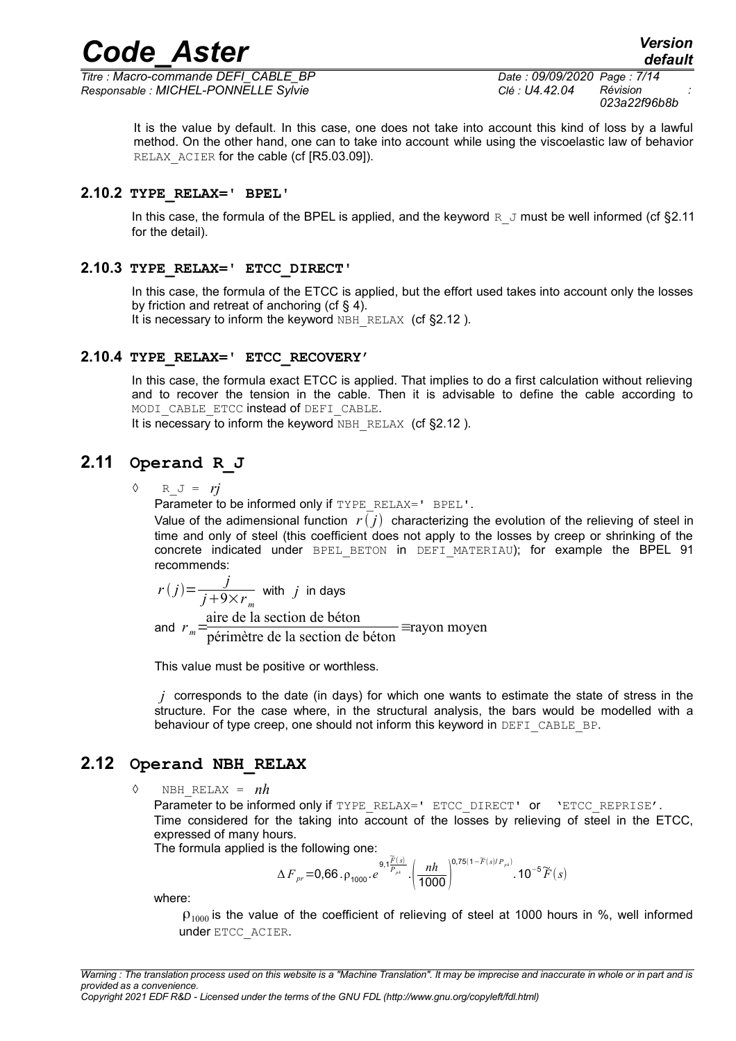*Titre : Macro-commande DEFI\_CABLE\_BP Date : 09/09/2020 Page : 7/14 Responsable : MICHEL-PONNELLE Sylvie Clé : U4.42.04 Révision :*

It is the value by default. In this case, one does not take into account this kind of loss by a lawful method. On the other hand, one can to take into account while using the viscoelastic law of behavior RELAX ACIER for the cable (cf [R5.03.09]).

#### **2.10.2 TYPE\_RELAX=' BPEL'**

In this case, the formula of the BPEL is applied, and the keyword  $R_J$  must be well informed (cf [§2.11](#page-6-0)) for the detail).

#### **2.10.3 TYPE\_RELAX=' ETCC\_DIRECT'**

In this case, the formula of the ETCC is applied, but the effort used takes into account only the losses by friction and retreat of anchoring (cf  $\S$  [4\)](#page-11-0).

It is necessary to inform the keyword NBH\_RELAX (cf §2.12).

#### **2.10.4 TYPE\_RELAX=' ETCC\_RECOVERY'**

In this case, the formula exact ETCC is applied. That implies to do a first calculation without relieving and to recover the tension in the cable. Then it is advisable to define the cable according to MODI CABLE ETCC instead of DEFI CABLE.

It is necessary to inform the keyword NBH\_RELAX (cf  $\S 2.12$ ).

### **2.11 Operand R\_J**

<span id="page-6-0"></span>◊ R\_J = *rj*

Parameter to be informed only if TYPE\_RELAX=' BPEL'.

Value of the adimensional function  $r(j)$  characterizing the evolution of the relieving of steel in time and only of steel (this coefficient does not apply to the losses by creep or shrinking of the concrete indicated under BPEL\_BETON in DEFI\_MATERIAU); for example the BPEL 91 recommends:

$$
r(j) = \frac{j}{j + 9 \times r_m}
$$
 with j in days  
and  $r_m = \frac{\text{aire de la section de béton}}{\text{peíimètre de la section de béton}} = \text{rayon moyen}$ 

This value must be positive or worthless.

*j* corresponds to the date (in days) for which one wants to estimate the state of stress in the structure. For the case where, in the structural analysis, the bars would be modelled with a behaviour of type creep, one should not inform this keyword in DEFI\_CABLE\_BP.

#### **2.12 Operand NBH\_RELAX**

<span id="page-6-1"></span> $\Diamond$  NBH RELAX =  $nh$ 

Parameter to be informed only if TYPE\_RELAX=' ETCC\_DIRECT' or 'ETCC\_REPRISE'. Time considered for the taking into account of the losses by relieving of steel in the ETCC, expressed of many hours.

The formula applied is the following one:

$$
\Delta F_{pr} = 0.66 \cdot p_{1000} \cdot e^{9.1 \frac{\widetilde{F}(s)}{P_{pk}}} \cdot \left(\frac{nh}{1000}\right)^{0.75(1-\widetilde{F}(s)/P_{pk})} \cdot 10^{-5}\widetilde{F}(s)
$$

where:

 $\rho_{1000}$  is the value of the coefficient of relieving of steel at 1000 hours in %, well informed under ETCC\_ACIER.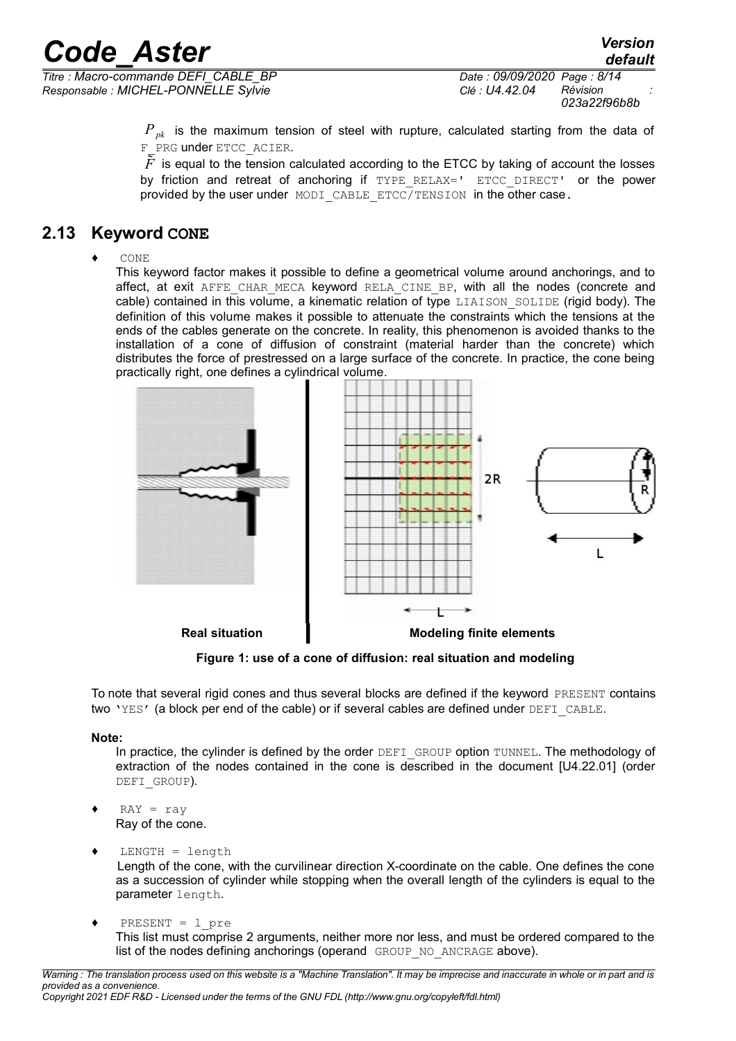*Responsable : MICHEL-PONNELLE Sylvie Clé : U4.42.04 Révision :*

*Ppk* is the maximum tension of steel with rupture, calculated starting from the data of F\_PRG under ETCC\_ACIER.

 $\tilde{F}$  is equal to the tension calculated according to the ETCC by taking of account the losses by friction and retreat of anchoring if TYPE RELAX=' ETCC DIRECT' or the power provided by the user under MODI CABLE ETCC/TENSION in the other case.

## **2.13 Keyword CONE**

 $\triangle$  CONE

This keyword factor makes it possible to define a geometrical volume around anchorings, and to affect, at exit AFFE CHAR MECA keyword RELA CINE BP, with all the nodes (concrete and cable) contained in this volume, a kinematic relation of type LIAISON SOLIDE (rigid body). The definition of this volume makes it possible to attenuate the constraints which the tensions at the ends of the cables generate on the concrete. In reality, this phenomenon is avoided thanks to the installation of a cone of diffusion of constraint (material harder than the concrete) which distributes the force of prestressed on a large surface of the concrete. In practice, the cone being practically right, one defines a cylindrical volume.



**Figure 1: use of a cone of diffusion: real situation and modeling**

To note that several rigid cones and thus several blocks are defined if the keyword PRESENT contains two 'YES' (a block per end of the cable) or if several cables are defined under DEFI CABLE.

#### **Note:**

In practice, the cylinder is defined by the order DEFI\_GROUP option TUNNEL. The methodology of extraction of the nodes contained in the cone is described in the document [U4.22.01] (order DEFI\_GROUP).

- $RAY = ray$ Ray of the cone.
- $LENGTH = length$ Length of the cone, with the curvilinear direction X-coordinate on the cable. One defines the cone as a succession of cylinder while stopping when the overall length of the cylinders is equal to the parameter length.
- ♦ PRESENT = l\_pre This list must comprise 2 arguments, neither more nor less, and must be ordered compared to the list of the nodes defining anchorings (operand GROUP NO ANCRAGE above).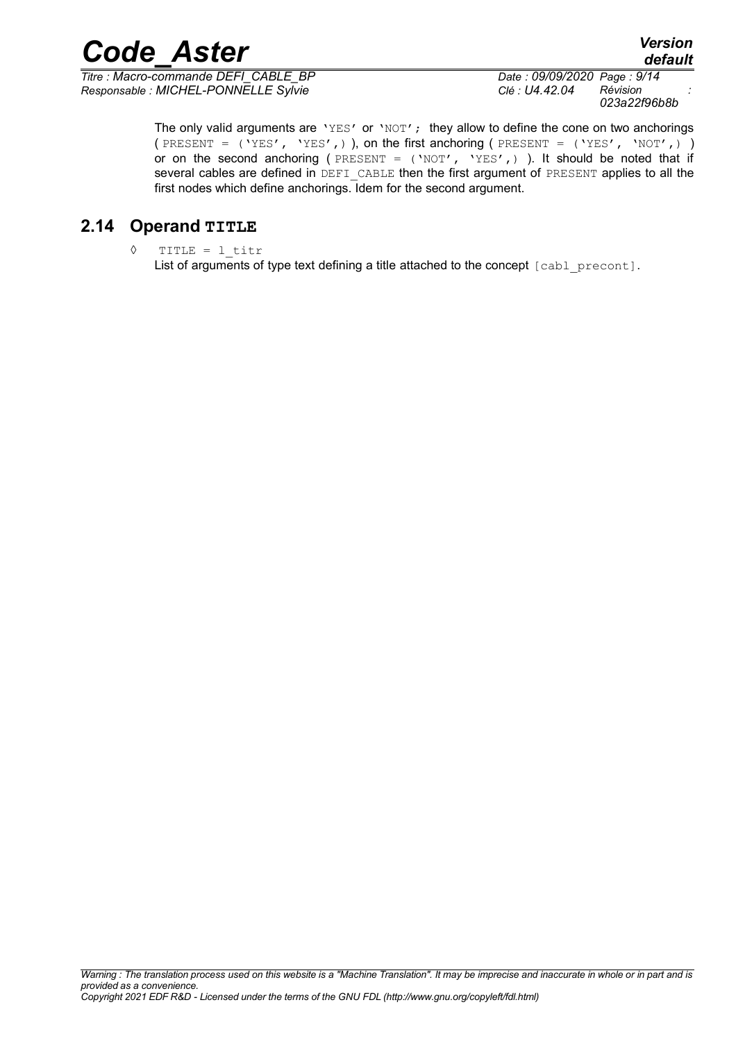*Titre : Macro-commande DEFI\_CABLE\_BP Date : 09/09/2020 Page : 9/14 Responsable : MICHEL-PONNELLE Sylvie Clé : U4.42.04 Révision :*

*023a22f96b8b*

*default*

The only valid arguments are 'YES' or 'NOT'; they allow to define the cone on two anchorings ( PRESENT =  $('YES', 'YES',)$  ), on the first anchoring ( PRESENT =  $('YES', 'NOT',)$ or on the second anchoring (  $PRESENT = ('NOT', 'YES', )$  ). It should be noted that if several cables are defined in DEFI\_CABLE then the first argument of PRESENT applies to all the first nodes which define anchorings. Idem for the second argument.

## **2.14 Operand TITLE**

◊ TITLE = l\_titr

List of arguments of type text defining a title attached to the concept [cabl\_precont].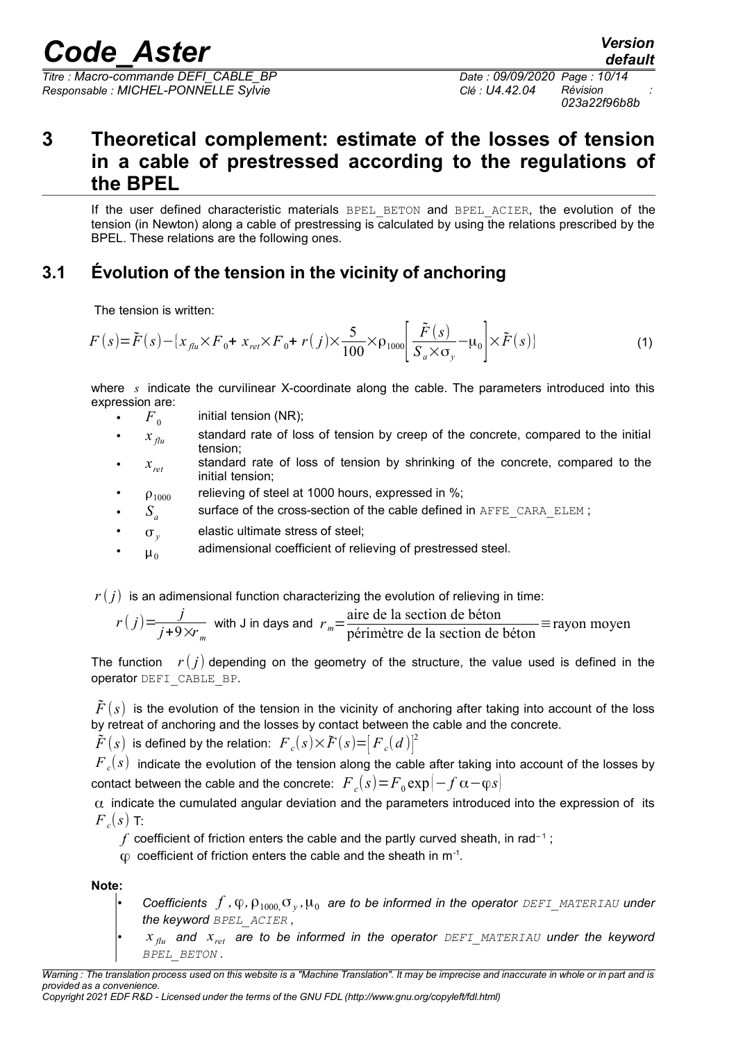*Titre : Macro-commande DEFI\_CABLE\_BP Date : 09/09/2020 Page : 10/14 Responsable : MICHEL-PONNELLE Sylvie Clé : U4.42.04 Révision :*

*023a22f96b8b*

## **3 Theoretical complement: estimate of the losses of tension in a cable of prestressed according to the regulations of the BPEL**

If the user defined characteristic materials BPEL BETON and BPEL ACIER, the evolution of the tension (in Newton) along a cable of prestressing is calculated by using the relations prescribed by the BPEL. These relations are the following ones.

## **3.1 Évolution of the tension in the vicinity of anchoring**

The tension is written:

$$
F(s) = \tilde{F}(s) - \{x_{\text{flu}} \times F_0 + x_{\text{ret}} \times F_0 + r(j) \times \frac{5}{100} \times \rho_{1000} \left[ \frac{\tilde{F}(s)}{S_a \times \sigma_y} - \mu_0 \right] \times \tilde{F}(s) \tag{1}
$$

where *s* indicate the curvilinear X-coordinate along the cable. The parameters introduced into this expression are:

- $F<sub>0</sub>$ initial tension (NR);
- $x_{\eta_u}$  standard rate of loss of tension by creep of the concrete, compared to the initial tension;
- $x_{ret}$ standard rate of loss of tension by shrinking of the concrete, compared to the initial tension;
- $\rho_{1000}$  relieving of steel at 1000 hours, expressed in %;
- $S_a$ surface of the cross-section of the cable defined in AFFE\_CARA\_ELEM ;
- $\sigma_{v}$ elastic ultimate stress of steel;
- $\mu_0$ adimensional coefficient of relieving of prestressed steel.

 $r(j)$  is an adimensional function characterizing the evolution of relieving in time:

$$
r(j) = \frac{j}{j+9 \times r_m}
$$
 with J in days and  $r_m = \frac{\text{aire de la section de béton}}{\text{peimètre de la section de béton}} \equiv \text{rayon moyen}$ 

The function  $r(i)$  depending on the geometry of the structure, the value used is defined in the operator DEFI\_CABLE\_BP.

 $\bar{F}(s)$  is the evolution of the tension in the vicinity of anchoring after taking into account of the loss by retreat of anchoring and the losses by contact between the cable and the concrete.

 $\tilde{F}(s)$  is defined by the relation:  $\overline{F}_c(s)\times\tilde{F}(s){=}{\left[F}_c(d)\right]^2}$ 

 ${{F}_{c}}(s)$  indicate the evolution of the tension along the cable after taking into account of the losses by  $\text{contact}$  between the cable and the concrete:  $\left. F\right. _{c}(s)\!=\!{F\mathstrut}_{0}\!\exp[-f\,\alpha\!-\!\phi s]$ 

 $\alpha$  indicate the cumulated angular deviation and the parameters introduced into the expression of its  ${F}_c(s)$  T:

 $f$  coefficient of friction enters the cable and the partly curved sheath, in rad<sup>-1</sup>;

 $\varphi$  coefficient of friction enters the cable and the sheath in m<sup>-1</sup>.

**Note:**

- Coefficients  $f$  ,  $\phi$  ,  $\rho_{1000}$   $\sigma_y$  ,  $\mu_0$  are to be informed in the operator <code>DEFI\_MATERIAU</code> under *the keyword BPEL\_ACIER ,*
- $x_{\text{flu}}$  and  $x_{\text{ret}}$  are to be informed in the operator  $DEFI$  MATERIAU under the keyword *BPEL\_BETON .*

*Warning : The translation process used on this website is a "Machine Translation". It may be imprecise and inaccurate in whole or in part and is provided as a convenience. Copyright 2021 EDF R&D - Licensed under the terms of the GNU FDL (http://www.gnu.org/copyleft/fdl.html)*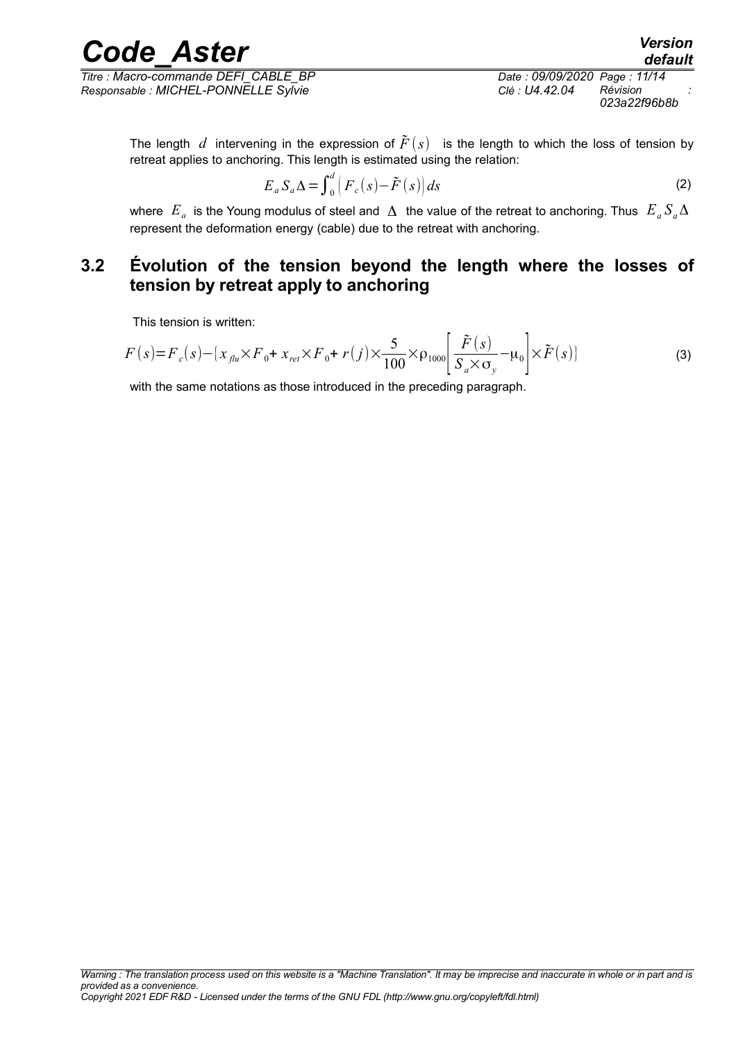*Titre : Macro-commande DEFI\_CABLE\_BP Date : 09/09/2020 Page : 11/14 Responsable : MICHEL-PONNELLE Sylvie Clé : U4.42.04 Révision :*

*default 023a22f96b8b*

The length *d* intervening in the expression of  $\tilde{F}(s)$  is the length to which the loss of tension by retreat applies to anchoring. This length is estimated using the relation:

$$
E_a S_a \Delta = \int_0^d \left( F_c(s) - \tilde{F}(s) \right) ds \tag{2}
$$

where  $|E_{a}|$  is the Young modulus of steel and  $|\Delta|$  the value of the retreat to anchoring. Thus  $|E_{a}S_{a}\Delta|$ represent the deformation energy (cable) due to the retreat with anchoring.

## **3.2 Évolution of the tension beyond the length where the losses of tension by retreat apply to anchoring**

This tension is written:

$$
F(s) = F_c(s) - \{x_{\text{flu}} \times F_0 + x_{\text{ret}} \times F_0 + r(j) \times \frac{5}{100} \times \rho_{1000} \left[ \frac{\tilde{F}(s)}{S_a \times \sigma_y} - \mu_0 \right] \times \tilde{F}(s) \tag{3}
$$

with the same notations as those introduced in the preceding paragraph.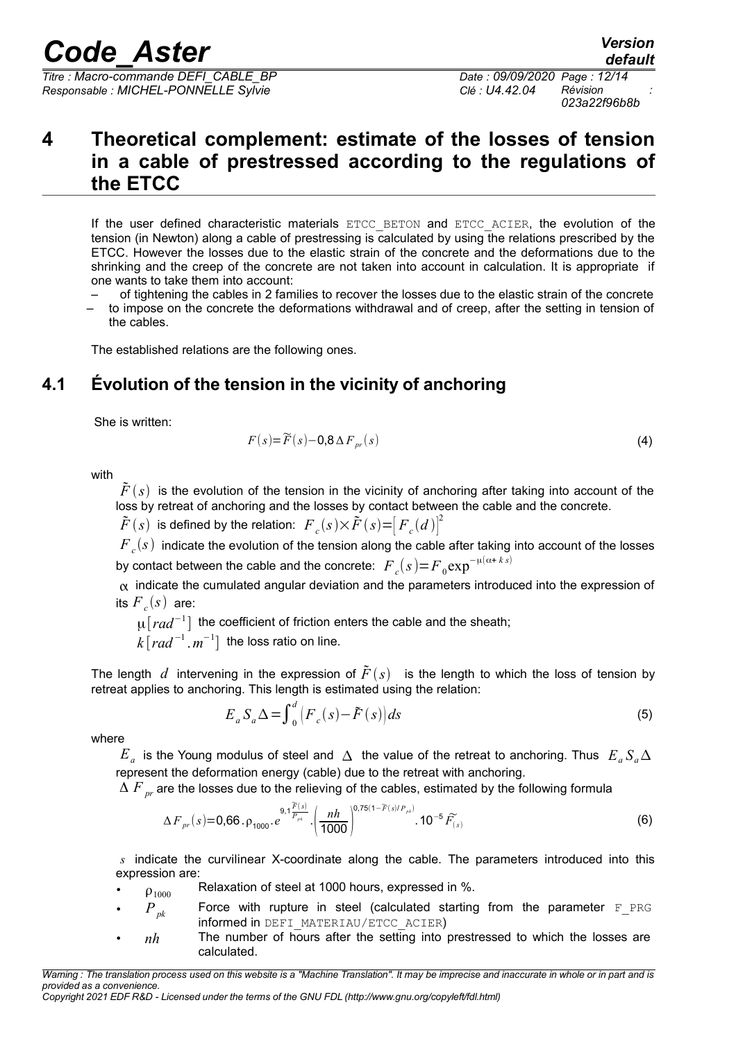*Titre : Macro-commande DEFI\_CABLE\_BP Date : 09/09/2020 Page : 12/14 Responsable : MICHEL-PONNELLE Sylvie Clé : U4.42.04 Révision :*

*023a22f96b8b*

## <span id="page-11-0"></span>**4 Theoretical complement: estimate of the losses of tension in a cable of prestressed according to the regulations of the ETCC**

If the user defined characteristic materials ETCC BETON and ETCC ACIER, the evolution of the tension (in Newton) along a cable of prestressing is calculated by using the relations prescribed by the ETCC. However the losses due to the elastic strain of the concrete and the deformations due to the shrinking and the creep of the concrete are not taken into account in calculation. It is appropriate if one wants to take them into account:

- of tightening the cables in 2 families to recover the losses due to the elastic strain of the concrete
- to impose on the concrete the deformations withdrawal and of creep, after the setting in tension of the cables.

The established relations are the following ones.

## **4.1 Évolution of the tension in the vicinity of anchoring**

She is written:

$$
F(s) = \widetilde{F}(s) - 0.8 \Delta F_{pr}(s)
$$
\n(4)

with

 $\tilde{F}(s)$  is the evolution of the tension in the vicinity of anchoring after taking into account of the loss by retreat of anchoring and the losses by contact between the cable and the concrete.

 $\tilde{F}\left(s\right)$  is defined by the relation:  $\overline{F}_c(s){\times}\tilde{F}\left(s\right){=}{\left[F}_c(d)\right]}^2$ 

 ${{F}_{c}}(s)$  indicate the evolution of the tension along the cable after taking into account of the losses by contact between the cable and the concrete:  $\overline{F}_c(s) = F_0 \exp^{-\mu(\alpha + \overline{k} s)}$ 

 $\alpha$  indicate the cumulated angular deviation and the parameters introduced into the expression of its  ${F}_c(s)$  are:

μ[*rad*<sup>−</sup><sup>1</sup> ] the coefficient of friction enters the cable and the sheath;

 $k\lceil rad^{-1}$  .  $m^{-1}\rceil$  the loss ratio on line.

The length *d* intervening in the expression of  $\tilde{F}(s)$  is the length to which the loss of tension by retreat applies to anchoring. This length is estimated using the relation:

$$
E_a S_a \Delta = \int_0^d \left( F_c(s) - \tilde{F}(s) \right) ds \tag{5}
$$

where

 $E$ <sub>*a*</sub> is the Young modulus of steel and  $\Delta$  the value of the retreat to anchoring. Thus  $E$ <sub>*a*</sub>  $\Delta$ represent the deformation energy (cable) due to the retreat with anchoring.

Δ *F* <sub>pr</sub> are the losses due to the relieving of the cables, estimated by the following formula

$$
\Delta F_{pr}(s) = 0.66 \cdot \rho_{1000} \cdot e^{-\theta \cdot 1 \frac{\widetilde{F}(s)}{P_{pr}}} \cdot \left(\frac{nh}{1000}\right)^{0.75(1-\widetilde{F}(s)/P_{pr})} \cdot 10^{-5} \widetilde{F}_{(s)} \tag{6}
$$

*s* indicate the curvilinear X-coordinate along the cable. The parameters introduced into this expression are:

- $\rho_{1000}$ Relaxation of steel at 1000 hours, expressed in %.
- $P_{pk}$  Force with rupture in steel (calculated starting from the parameter  $F_{pR}$ G informed in DEFI\_MATERIAU/ETCC\_ACIER)
- *nh* The number of hours after the setting into prestressed to which the losses are calculated.

*Copyright 2021 EDF R&D - Licensed under the terms of the GNU FDL (http://www.gnu.org/copyleft/fdl.html)*

*Warning : The translation process used on this website is a "Machine Translation". It may be imprecise and inaccurate in whole or in part and is provided as a convenience.*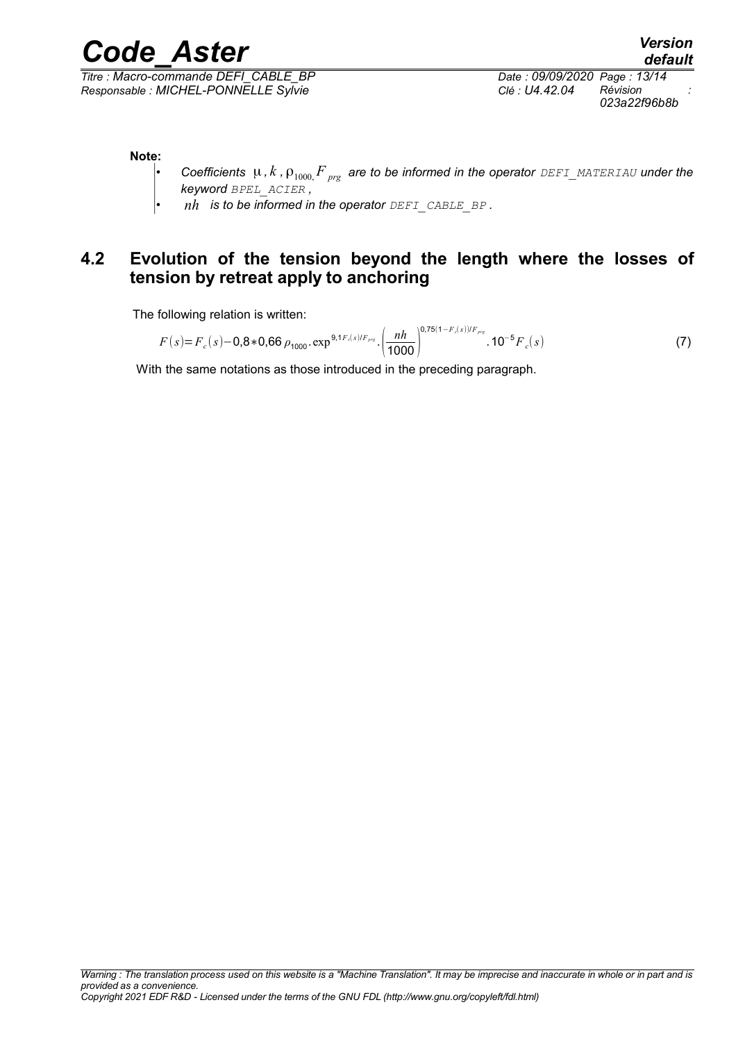*Titre : Macro-commande DEFI\_CABLE\_BP Date : 09/09/2020 Page : 13/14 Responsable : MICHEL-PONNELLE Sylvie Clé : U4.42.04 Révision :*

*023a22f96b8b*

**Note:**

- *Coefficients*  $\mu$ , *k*,  $\rho_{1000}F_{prg}$  are to be informed in the operator  $DEFI_MATERIAU$  under the *keyword BPEL\_ACIER ,*
- *nh is to be informed in the operator DEFI\_CABLE\_BP .*

## **4.2 Evolution of the tension beyond the length where the losses of tension by retreat apply to anchoring**

The following relation is written:

$$
F(s) = F_c(s) - 0.8 * 0.66 \rho_{1000} \cdot \exp^{9.1 F_c(s)/F_{\rho rs}} \cdot \left(\frac{nh}{1000}\right)^{0.75(1 - F_c(s))/F_{\rho rs}} \cdot 10^{-5} F_c(s)
$$
 (7)

With the same notations as those introduced in the preceding paragraph.